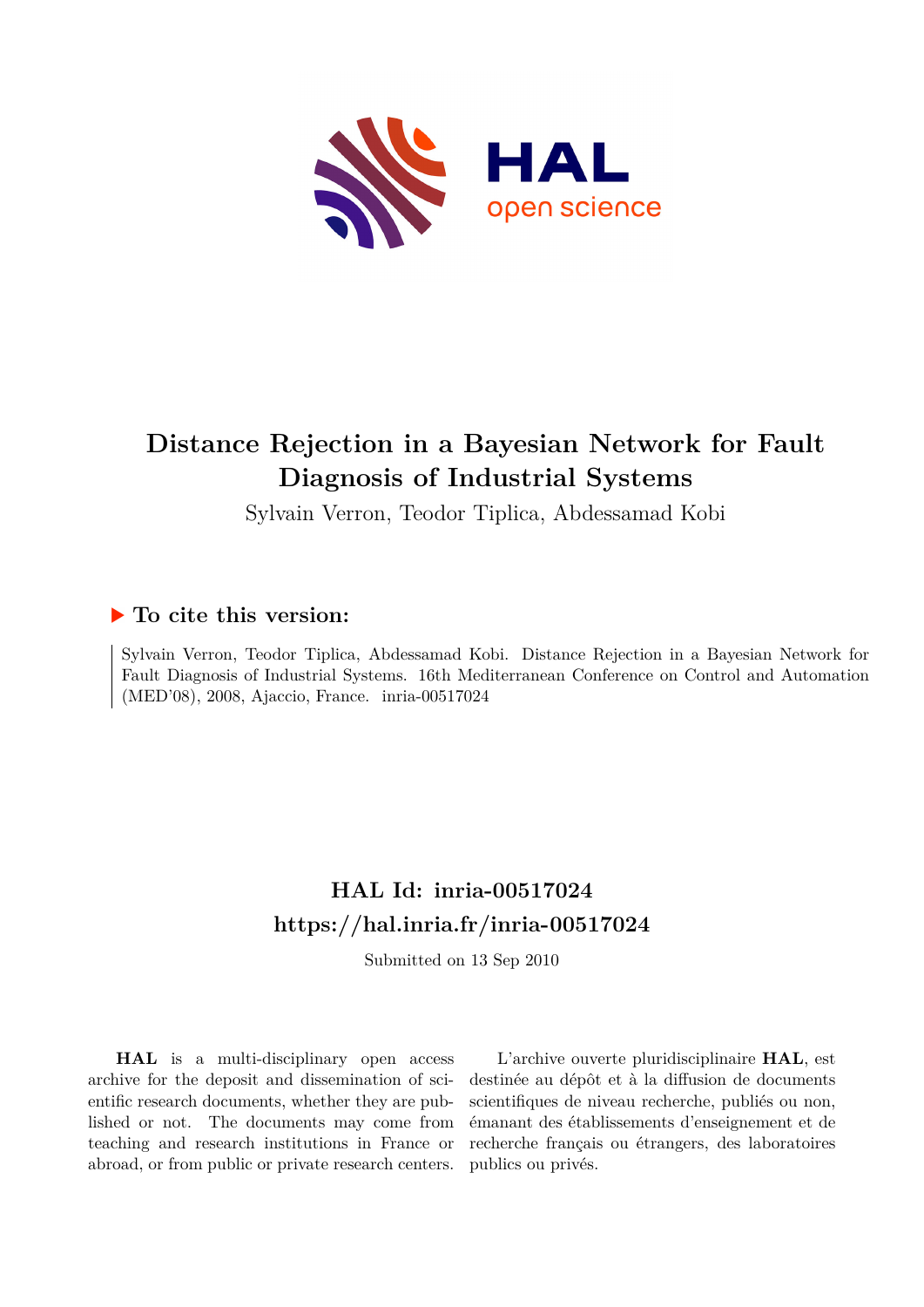

# **Distance Rejection in a Bayesian Network for Fault Diagnosis of Industrial Systems**

Sylvain Verron, Teodor Tiplica, Abdessamad Kobi

# **To cite this version:**

Sylvain Verron, Teodor Tiplica, Abdessamad Kobi. Distance Rejection in a Bayesian Network for Fault Diagnosis of Industrial Systems. 16th Mediterranean Conference on Control and Automation (MED'08), 2008, Ajaccio, France. inria-00517024

# **HAL Id: inria-00517024 <https://hal.inria.fr/inria-00517024>**

Submitted on 13 Sep 2010

**HAL** is a multi-disciplinary open access archive for the deposit and dissemination of scientific research documents, whether they are published or not. The documents may come from teaching and research institutions in France or abroad, or from public or private research centers.

L'archive ouverte pluridisciplinaire **HAL**, est destinée au dépôt et à la diffusion de documents scientifiques de niveau recherche, publiés ou non, émanant des établissements d'enseignement et de recherche français ou étrangers, des laboratoires publics ou privés.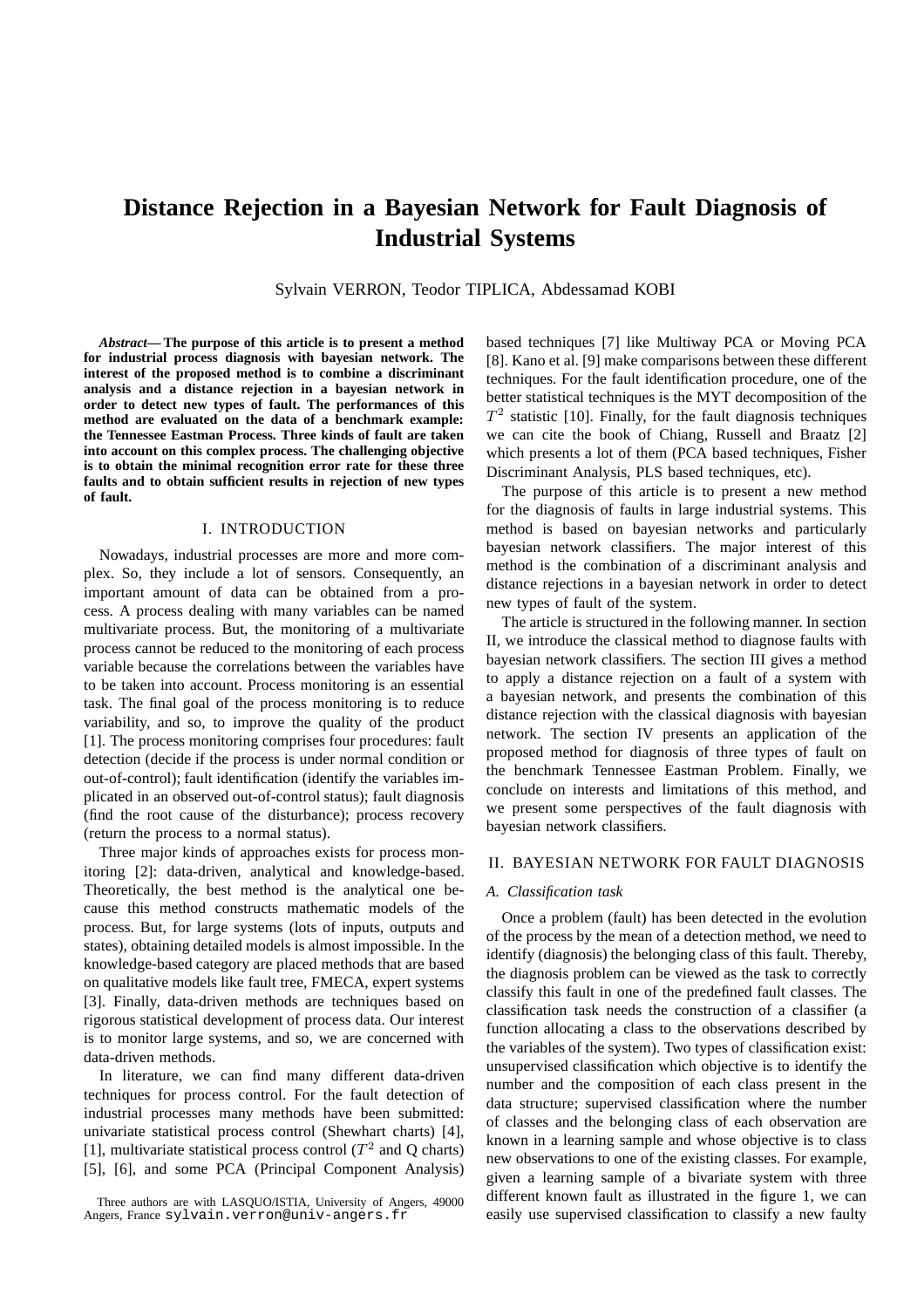# **Distance Rejection in a Bayesian Network for Fault Diagnosis of Industrial Systems**

Sylvain VERRON, Teodor TIPLICA, Abdessamad KOBI

*Abstract***— The purpose of this article is to present a method for industrial process diagnosis with bayesian network. The interest of the proposed method is to combine a discriminant analysis and a distance rejection in a bayesian network in order to detect new types of fault. The performances of this method are evaluated on the data of a benchmark example: the Tennessee Eastman Process. Three kinds of fault are taken into account on this complex process. The challenging objective is to obtain the minimal recognition error rate for these three faults and to obtain sufficient results in rejection of new types of fault.**

#### I. INTRODUCTION

Nowadays, industrial processes are more and more complex. So, they include a lot of sensors. Consequently, an important amount of data can be obtained from a process. A process dealing with many variables can be named multivariate process. But, the monitoring of a multivariate process cannot be reduced to the monitoring of each process variable because the correlations between the variables have to be taken into account. Process monitoring is an essential task. The final goal of the process monitoring is to reduce variability, and so, to improve the quality of the product [1]. The process monitoring comprises four procedures: fault detection (decide if the process is under normal condition or out-of-control); fault identification (identify the variables implicated in an observed out-of-control status); fault diagnosis (find the root cause of the disturbance); process recovery (return the process to a normal status).

Three major kinds of approaches exists for process monitoring [2]: data-driven, analytical and knowledge-based. Theoretically, the best method is the analytical one because this method constructs mathematic models of the process. But, for large systems (lots of inputs, outputs and states), obtaining detailed models is almost impossible. In the knowledge-based category are placed methods that are based on qualitative models like fault tree, FMECA, expert systems [3]. Finally, data-driven methods are techniques based on rigorous statistical development of process data. Our interest is to monitor large systems, and so, we are concerned with data-driven methods.

In literature, we can find many different data-driven techniques for process control. For the fault detection of industrial processes many methods have been submitted: univariate statistical process control (Shewhart charts) [4], [1], multivariate statistical process control ( $T^2$  and Q charts) [5], [6], and some PCA (Principal Component Analysis) based techniques [7] like Multiway PCA or Moving PCA [8]. Kano et al. [9] make comparisons between these different techniques. For the fault identification procedure, one of the better statistical techniques is the MYT decomposition of the  $T<sup>2</sup>$  statistic [10]. Finally, for the fault diagnosis techniques we can cite the book of Chiang, Russell and Braatz [2] which presents a lot of them (PCA based techniques, Fisher Discriminant Analysis, PLS based techniques, etc).

The purpose of this article is to present a new method for the diagnosis of faults in large industrial systems. This method is based on bayesian networks and particularly bayesian network classifiers. The major interest of this method is the combination of a discriminant analysis and distance rejections in a bayesian network in order to detect new types of fault of the system.

The article is structured in the following manner. In section II, we introduce the classical method to diagnose faults with bayesian network classifiers. The section III gives a method to apply a distance rejection on a fault of a system with a bayesian network, and presents the combination of this distance rejection with the classical diagnosis with bayesian network. The section IV presents an application of the proposed method for diagnosis of three types of fault on the benchmark Tennessee Eastman Problem. Finally, we conclude on interests and limitations of this method, and we present some perspectives of the fault diagnosis with bayesian network classifiers.

#### II. BAYESIAN NETWORK FOR FAULT DIAGNOSIS

#### *A. Classification task*

Once a problem (fault) has been detected in the evolution of the process by the mean of a detection method, we need to identify (diagnosis) the belonging class of this fault. Thereby, the diagnosis problem can be viewed as the task to correctly classify this fault in one of the predefined fault classes. The classification task needs the construction of a classifier (a function allocating a class to the observations described by the variables of the system). Two types of classification exist: unsupervised classification which objective is to identify the number and the composition of each class present in the data structure; supervised classification where the number of classes and the belonging class of each observation are known in a learning sample and whose objective is to class new observations to one of the existing classes. For example, given a learning sample of a bivariate system with three different known fault as illustrated in the figure 1, we can easily use supervised classification to classify a new faulty

Three authors are with LASQUO/ISTIA, University of Angers, 49000 Angers, France sylvain.verron@univ-angers.fr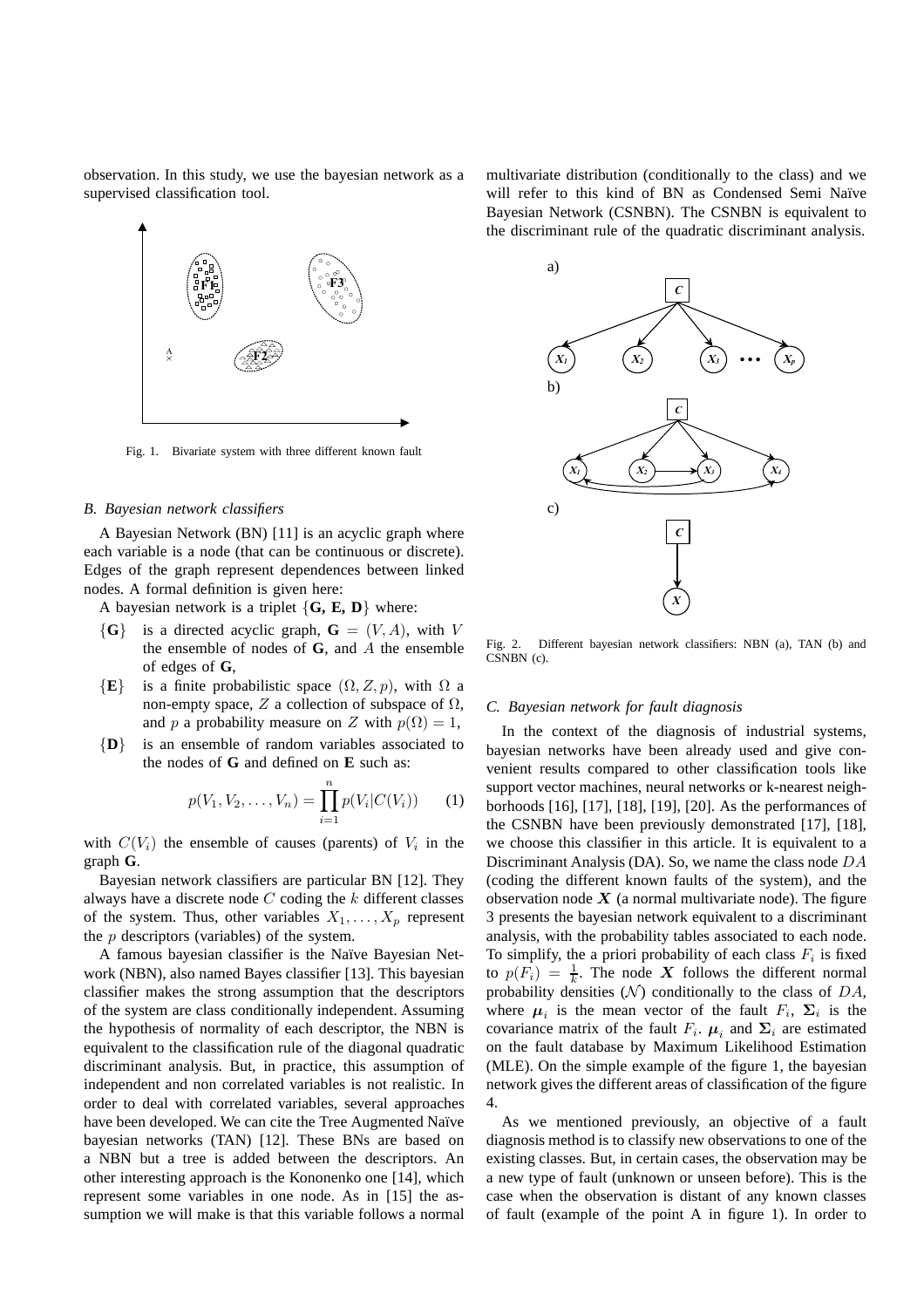observation. In this study, we use the bayesian network as a supervised classification tool.



Fig. 1. Bivariate system with three different known fault

#### *B. Bayesian network classifiers*

A Bayesian Network (BN) [11] is an acyclic graph where each variable is a node (that can be continuous or discrete). Edges of the graph represent dependences between linked nodes. A formal definition is given here:

A bayesian network is a triplet  $\{G, E, D\}$  where:

- ${G}$  is a directed acyclic graph,  $G = (V, A)$ , with V the ensemble of nodes of **G**, and A the ensemble of edges of **G**,
- ${E}$  is a finite probabilistic space  $(\Omega, Z, p)$ , with  $\Omega$  a non-empty space, Z a collection of subspace of  $\Omega$ , and p a probability measure on Z with  $p(\Omega) = 1$ ,
- {**D**} is an ensemble of random variables associated to the nodes of **G** and defined on **E** such as:

$$
p(V_1, V_2, \dots, V_n) = \prod_{i=1}^n p(V_i | C(V_i)) \qquad (1)
$$

with  $C(V_i)$  the ensemble of causes (parents) of  $V_i$  in the graph **G**.

Bayesian network classifiers are particular BN [12]. They always have a discrete node  $C$  coding the  $k$  different classes of the system. Thus, other variables  $X_1, \ldots, X_p$  represent the  $p$  descriptors (variables) of the system.

A famous bayesian classifier is the Naïve Bayesian Network (NBN), also named Bayes classifier [13]. This bayesian classifier makes the strong assumption that the descriptors of the system are class conditionally independent. Assuming the hypothesis of normality of each descriptor, the NBN is equivalent to the classification rule of the diagonal quadratic discriminant analysis. But, in practice, this assumption of independent and non correlated variables is not realistic. In order to deal with correlated variables, several approaches have been developed. We can cite the Tree Augmented Naïve bayesian networks (TAN) [12]. These BNs are based on a NBN but a tree is added between the descriptors. An other interesting approach is the Kononenko one [14], which represent some variables in one node. As in [15] the assumption we will make is that this variable follows a normal

multivariate distribution (conditionally to the class) and we will refer to this kind of BN as Condensed Semi Naïve Bayesian Network (CSNBN). The CSNBN is equivalent to the discriminant rule of the quadratic discriminant analysis.



Fig. 2. Different bayesian network classifiers: NBN (a), TAN (b) and CSNBN (c).

#### *C. Bayesian network for fault diagnosis*

In the context of the diagnosis of industrial systems, bayesian networks have been already used and give convenient results compared to other classification tools like support vector machines, neural networks or k-nearest neighborhoods [16], [17], [18], [19], [20]. As the performances of the CSNBN have been previously demonstrated [17], [18], we choose this classifier in this article. It is equivalent to a Discriminant Analysis (DA). So, we name the class node DA (coding the different known faults of the system), and the observation node  $X$  (a normal multivariate node). The figure 3 presents the bayesian network equivalent to a discriminant analysis, with the probability tables associated to each node. To simplify, the a priori probability of each class  $F_i$  is fixed to  $p(F_i) = \frac{1}{k}$ . The node X follows the different normal probability densities  $(N)$  conditionally to the class of  $DA$ , where  $\mu_i$  is the mean vector of the fault  $F_i$ ,  $\Sigma_i$  is the covariance matrix of the fault  $F_i$ .  $\mu_i$  and  $\Sigma_i$  are estimated on the fault database by Maximum Likelihood Estimation (MLE). On the simple example of the figure 1, the bayesian network gives the different areas of classification of the figure 4.

As we mentioned previously, an objective of a fault diagnosis method is to classify new observations to one of the existing classes. But, in certain cases, the observation may be a new type of fault (unknown or unseen before). This is the case when the observation is distant of any known classes of fault (example of the point A in figure 1). In order to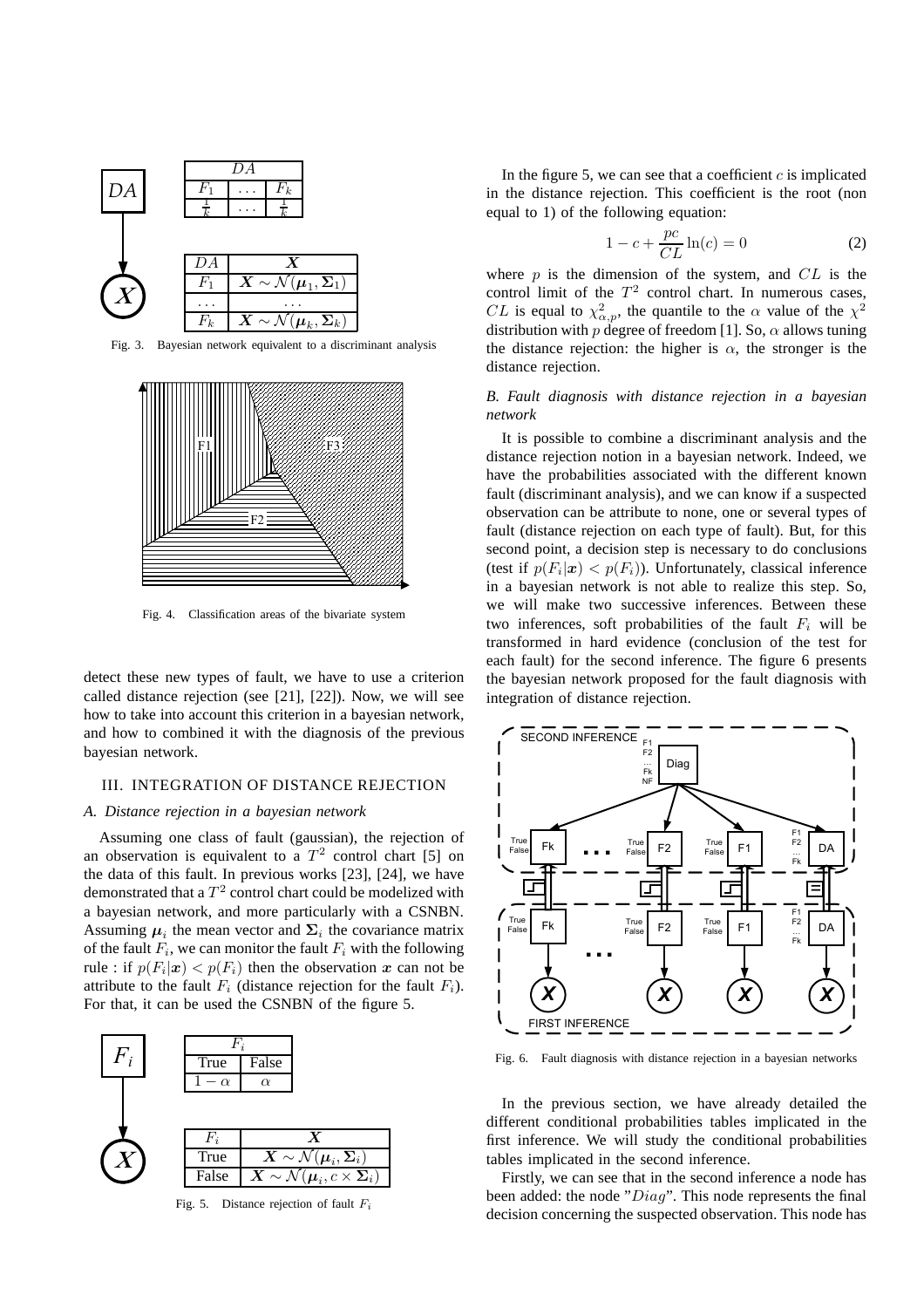

Fig. 3. Bayesian network equivalent to a discriminant analysis



Fig. 4. Classification areas of the bivariate system

detect these new types of fault, we have to use a criterion called distance rejection (see [21], [22]). Now, we will see how to take into account this criterion in a bayesian network, and how to combined it with the diagnosis of the previous bayesian network.

## III. INTEGRATION OF DISTANCE REJECTION

#### *A. Distance rejection in a bayesian network*

Assuming one class of fault (gaussian), the rejection of an observation is equivalent to a  $T^2$  control chart [5] on the data of this fault. In previous works [23], [24], we have demonstrated that a  $T^2$  control chart could be modelized with a bayesian network, and more particularly with a CSNBN. Assuming  $\mu_i$  the mean vector and  $\Sigma_i$  the covariance matrix of the fault  $F_i$ , we can monitor the fault  $F_i$  with the following rule : if  $p(F_i|\boldsymbol{x}) < p(F_i)$  then the observation  $\boldsymbol{x}$  can not be attribute to the fault  $F_i$  (distance rejection for the fault  $F_i$ ). For that, it can be used the CSNBN of the figure 5.



Fig. 5. Distance rejection of fault  $F_i$ 

In the figure 5, we can see that a coefficient  $c$  is implicated in the distance rejection. This coefficient is the root (non equal to 1) of the following equation:

$$
1 - c + \frac{pc}{CL} \ln(c) = 0 \tag{2}
$$

where  $p$  is the dimension of the system, and  $CL$  is the control limit of the  $T^2$  control chart. In numerous cases, *CL* is equal to  $\chi^2_{\alpha,p}$ , the quantile to the  $\alpha$  value of the  $\chi^2$ distribution with p degree of freedom [1]. So,  $\alpha$  allows tuning the distance rejection: the higher is  $\alpha$ , the stronger is the distance rejection.

## *B. Fault diagnosis with distance rejection in a bayesian network*

It is possible to combine a discriminant analysis and the distance rejection notion in a bayesian network. Indeed, we have the probabilities associated with the different known fault (discriminant analysis), and we can know if a suspected observation can be attribute to none, one or several types of fault (distance rejection on each type of fault). But, for this second point, a decision step is necessary to do conclusions (test if  $p(F_i|\boldsymbol{x}) < p(F_i)$ ). Unfortunately, classical inference in a bayesian network is not able to realize this step. So, we will make two successive inferences. Between these two inferences, soft probabilities of the fault  $F_i$  will be transformed in hard evidence (conclusion of the test for each fault) for the second inference. The figure 6 presents the bayesian network proposed for the fault diagnosis with integration of distance rejection.



Fig. 6. Fault diagnosis with distance rejection in a bayesian networks

In the previous section, we have already detailed the different conditional probabilities tables implicated in the first inference. We will study the conditional probabilities tables implicated in the second inference.

Firstly, we can see that in the second inference a node has been added: the node "Diag". This node represents the final decision concerning the suspected observation. This node has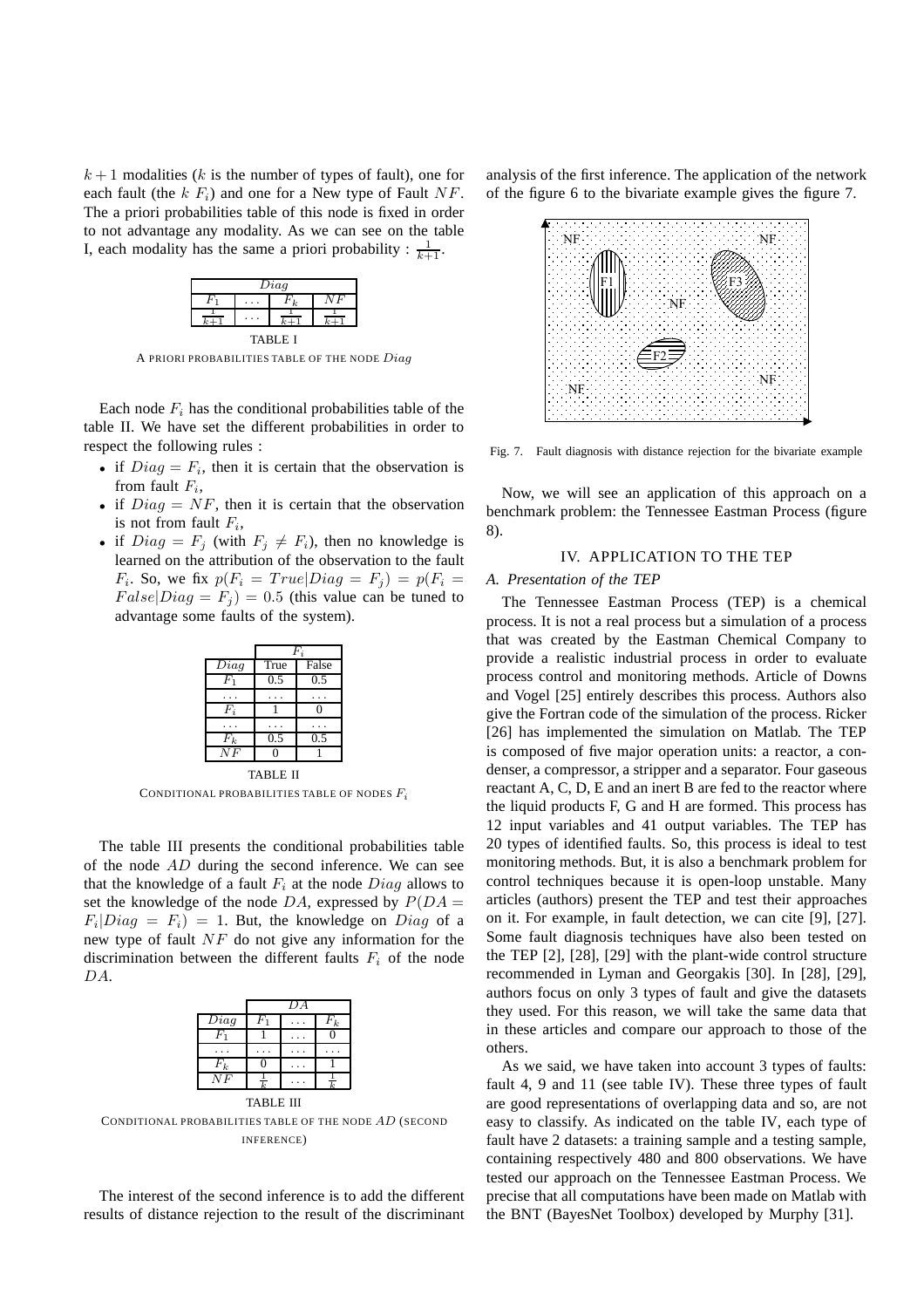$k+1$  modalities (k is the number of types of fault), one for each fault (the  $k F_i$ ) and one for a New type of Fault NF. The a priori probabilities table of this node is fixed in order to not advantage any modality. As we can see on the table I, each modality has the same a priori probability :  $\frac{1}{k+1}$ .

| Diag           |  |  |  |  |  |  |  |
|----------------|--|--|--|--|--|--|--|
| н<br>ι.        |  |  |  |  |  |  |  |
|                |  |  |  |  |  |  |  |
| <b>TABLE 1</b> |  |  |  |  |  |  |  |

A PRIORI PROBABILITIES TABLE OF THE NODE Diag

Each node  $F_i$  has the conditional probabilities table of the table II. We have set the different probabilities in order to respect the following rules :

- if  $Diag = F_i$ , then it is certain that the observation is from fault  $F_i$ ,
- if  $Diag = NF$ , then it is certain that the observation is not from fault  $F_i$ ,
- if  $Diag = F_j$  (with  $F_j \neq F_i$ ), then no knowledge is learned on the attribution of the observation to the fault  $F_i$ . So, we fix  $p(F_i = True|Diag = F_j) = p(F_i =$  $False|Diag = F_j$  = 0.5 (this value can be tuned to advantage some faults of the system).

|       | Fż   |       |  |  |
|-------|------|-------|--|--|
| Diag  | True | False |  |  |
| $F_1$ | 0.5  | 0.5   |  |  |
|       |      |       |  |  |
| Fi    |      |       |  |  |
|       |      |       |  |  |
| $F_k$ | 0.5  | 0.5   |  |  |
| NF    |      |       |  |  |

TABLE II CONDITIONAL PROBABILITIES TABLE OF NODES  $F_i$ 

The table III presents the conditional probabilities table of the node  $AD$  during the second inference. We can see that the knowledge of a fault  $F_i$  at the node  $Diag$  allows to set the knowledge of the node DA, expressed by  $P(DA =$  $F_i|Diag = F_i$  = 1. But, the knowledge on Diag of a new type of fault NF do not give any information for the discrimination between the different faults  $F_i$  of the node DA.

|                  |  | DА |       |  |  |
|------------------|--|----|-------|--|--|
| Diag             |  |    | $F_k$ |  |  |
|                  |  |    |       |  |  |
|                  |  |    |       |  |  |
| $F_k$            |  |    |       |  |  |
| NF               |  |    |       |  |  |
| <b>TABLE III</b> |  |    |       |  |  |

CONDITIONAL PROBABILITIES TABLE OF THE NODE AD (SECOND INFERENCE)

The interest of the second inference is to add the different results of distance rejection to the result of the discriminant

analysis of the first inference. The application of the network of the figure 6 to the bivariate example gives the figure 7.



Fig. 7. Fault diagnosis with distance rejection for the bivariate example

Now, we will see an application of this approach on a benchmark problem: the Tennessee Eastman Process (figure 8).

# IV. APPLICATION TO THE TEP

#### *A. Presentation of the TEP*

The Tennessee Eastman Process (TEP) is a chemical process. It is not a real process but a simulation of a process that was created by the Eastman Chemical Company to provide a realistic industrial process in order to evaluate process control and monitoring methods. Article of Downs and Vogel [25] entirely describes this process. Authors also give the Fortran code of the simulation of the process. Ricker [26] has implemented the simulation on Matlab. The TEP is composed of five major operation units: a reactor, a condenser, a compressor, a stripper and a separator. Four gaseous reactant A, C, D, E and an inert B are fed to the reactor where the liquid products F, G and H are formed. This process has 12 input variables and 41 output variables. The TEP has 20 types of identified faults. So, this process is ideal to test monitoring methods. But, it is also a benchmark problem for control techniques because it is open-loop unstable. Many articles (authors) present the TEP and test their approaches on it. For example, in fault detection, we can cite [9], [27]. Some fault diagnosis techniques have also been tested on the TEP [2], [28], [29] with the plant-wide control structure recommended in Lyman and Georgakis [30]. In [28], [29], authors focus on only 3 types of fault and give the datasets they used. For this reason, we will take the same data that in these articles and compare our approach to those of the others.

As we said, we have taken into account 3 types of faults: fault 4, 9 and 11 (see table IV). These three types of fault are good representations of overlapping data and so, are not easy to classify. As indicated on the table IV, each type of fault have 2 datasets: a training sample and a testing sample, containing respectively 480 and 800 observations. We have tested our approach on the Tennessee Eastman Process. We precise that all computations have been made on Matlab with the BNT (BayesNet Toolbox) developed by Murphy [31].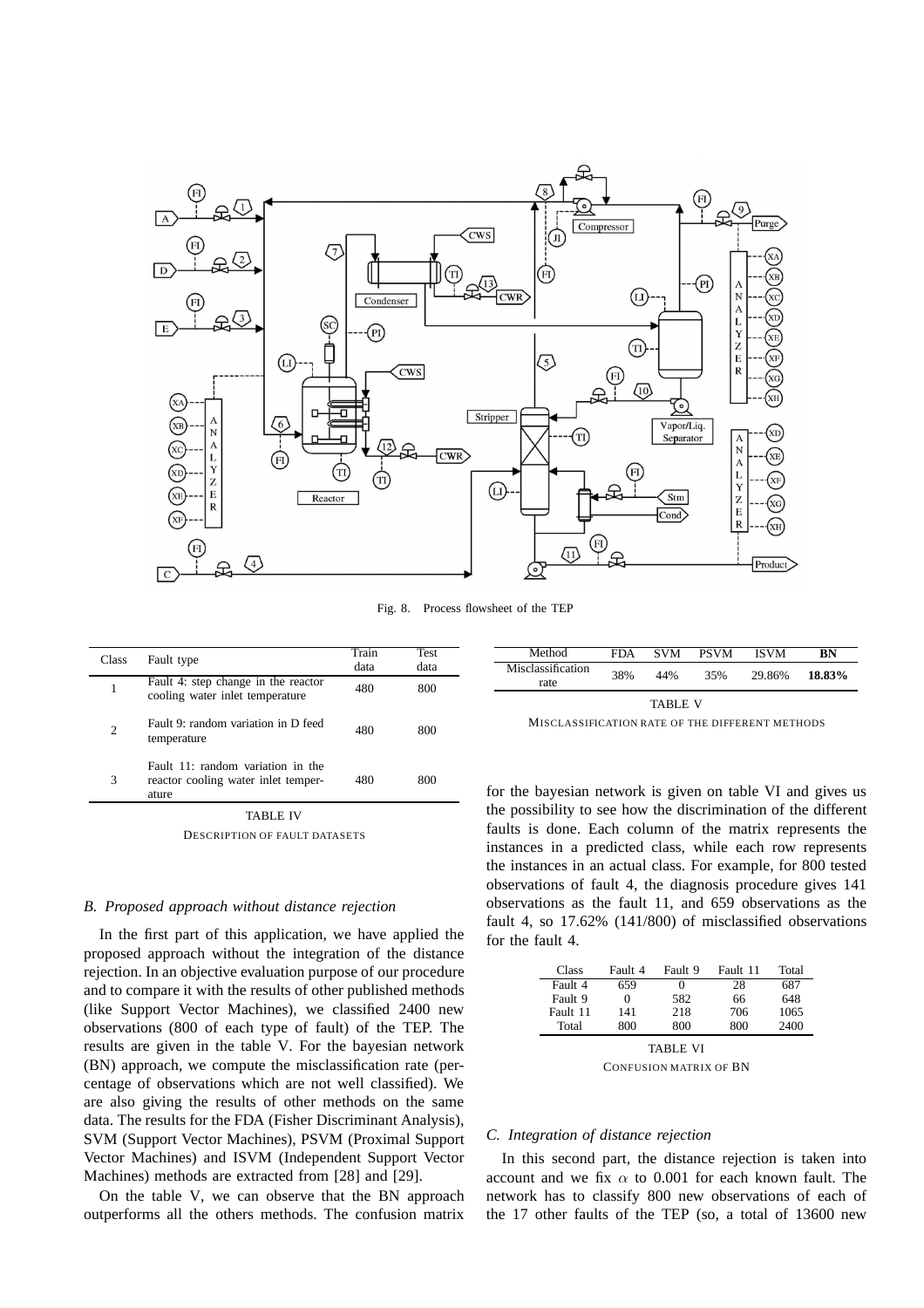

Fig. 8. Process flowsheet of the TEP

| Class | Fault type                                                                           | Train<br>data | Test<br>data |
|-------|--------------------------------------------------------------------------------------|---------------|--------------|
|       | Fault 4: step change in the reactor<br>cooling water inlet temperature               | 480           | 800          |
| 2     | Fault 9: random variation in D feed<br>temperature                                   | 480           | 800          |
| 3     | Fault $11$ : random variation in the<br>reactor cooling water inlet temper-<br>ature | 480           | 800          |

TABLE IV DESCRIPTION OF FAULT DATASETS

## *B. Proposed approach without distance rejection*

In the first part of this application, we have applied the proposed approach without the integration of the distance rejection. In an objective evaluation purpose of our procedure and to compare it with the results of other published methods (like Support Vector Machines), we classified 2400 new observations (800 of each type of fault) of the TEP. The results are given in the table V. For the bayesian network (BN) approach, we compute the misclassification rate (percentage of observations which are not well classified). We are also giving the results of other methods on the same data. The results for the FDA (Fisher Discriminant Analysis), SVM (Support Vector Machines), PSVM (Proximal Support Vector Machines) and ISVM (Independent Support Vector Machines) methods are extracted from [28] and [29].

On the table V, we can observe that the BN approach outperforms all the others methods. The confusion matrix

| Method                    | FDA | <b>SVM</b> | <b>PSVM</b> | <b>ISVM</b> | BN     |
|---------------------------|-----|------------|-------------|-------------|--------|
| Misclassification<br>rate | 38% | 44%        | 35%         | 29.86%      | 18.83% |
| <b>TABLE V</b>            |     |            |             |             |        |

for the bayesian network is given on table VI and gives us the possibility to see how the discrimination of the different faults is done. Each column of the matrix represents the instances in a predicted class, while each row represents the instances in an actual class. For example, for 800 tested observations of fault 4, the diagnosis procedure gives 141 observations as the fault 11, and 659 observations as the fault 4, so 17.62% (141/800) of misclassified observations for the fault 4.

| Class           | Fault 4 | Fault 9 | Fault 11 | Total |  |
|-----------------|---------|---------|----------|-------|--|
| Fault 4         | 659     |         | 28       | 687   |  |
| Fault 9         | 0       | 582     | 66       | 648   |  |
| Fault 11        | 141     | 218     | 706      | 1065  |  |
| Total           | 800     | 800     | 800      | 2400  |  |
| <b>TABLE VI</b> |         |         |          |       |  |

CONFUSION MATRIX OF BN

#### *C. Integration of distance rejection*

In this second part, the distance rejection is taken into account and we fix  $\alpha$  to 0.001 for each known fault. The network has to classify 800 new observations of each of the 17 other faults of the TEP (so, a total of 13600 new